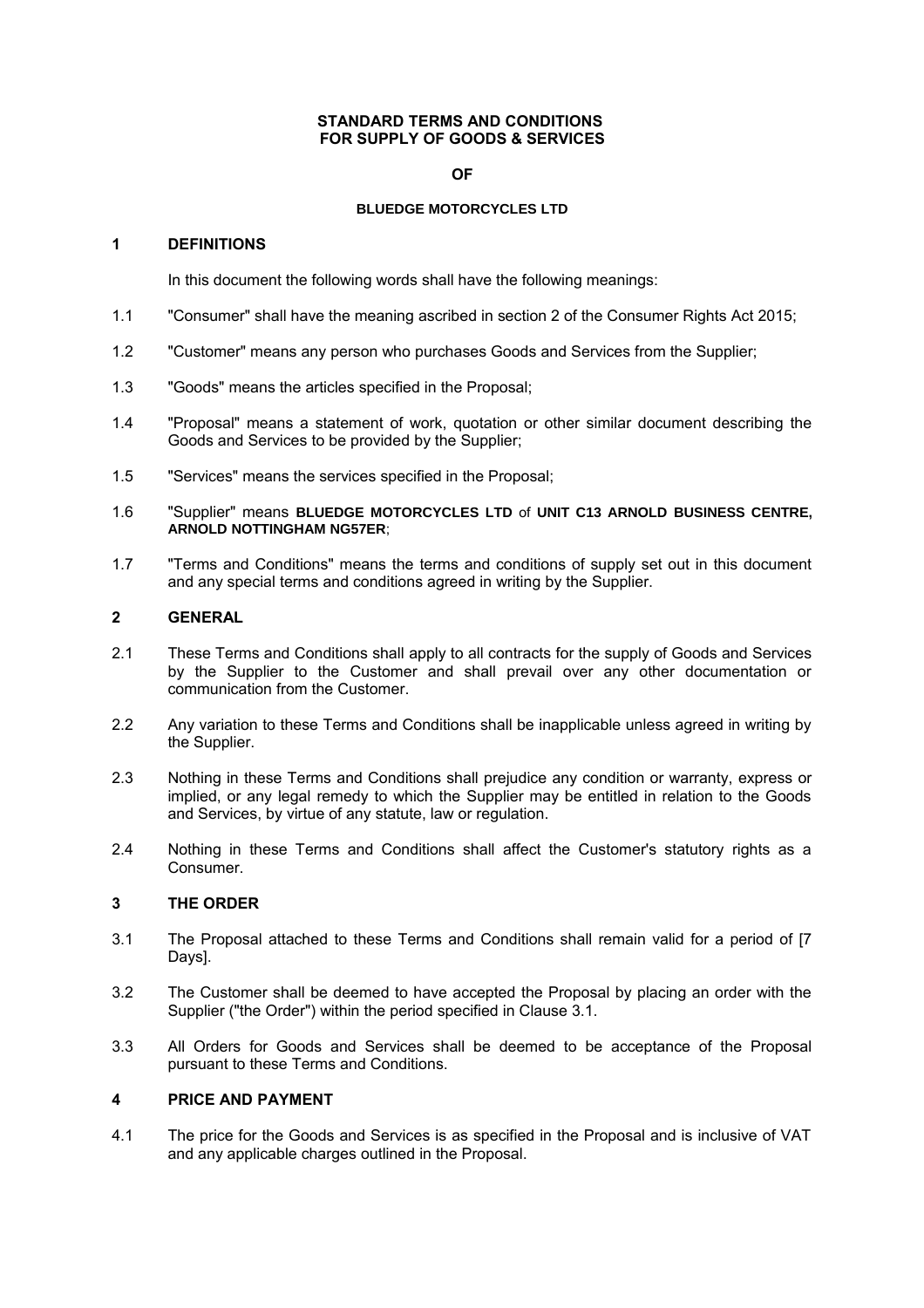#### **STANDARD TERMS AND CONDITIONS FOR SUPPLY OF GOODS & SERVICES**

#### **OF**

#### **BLUEDGE MOTORCYCLES LTD**

#### **1 DEFINITIONS**

In this document the following words shall have the following meanings:

- 1.1 "Consumer" shall have the meaning ascribed in section 2 of the Consumer Rights Act 2015;
- 1.2 "Customer" means any person who purchases Goods and Services from the Supplier;
- 1.3 "Goods" means the articles specified in the Proposal;
- 1.4 "Proposal" means a statement of work, quotation or other similar document describing the Goods and Services to be provided by the Supplier;
- 1.5 "Services" means the services specified in the Proposal;
- 1.6 "Supplier" means **BLUEDGE MOTORCYCLES LTD** of **UNIT C13 ARNOLD BUSINESS CENTRE, ARNOLD NOTTINGHAM NG57ER**;
- 1.7 "Terms and Conditions" means the terms and conditions of supply set out in this document and any special terms and conditions agreed in writing by the Supplier.

## **2 GENERAL**

- 2.1 These Terms and Conditions shall apply to all contracts for the supply of Goods and Services by the Supplier to the Customer and shall prevail over any other documentation or communication from the Customer.
- 2.2 Any variation to these Terms and Conditions shall be inapplicable unless agreed in writing by the Supplier.
- 2.3 Nothing in these Terms and Conditions shall prejudice any condition or warranty, express or implied, or any legal remedy to which the Supplier may be entitled in relation to the Goods and Services, by virtue of any statute, law or regulation.
- 2.4 Nothing in these Terms and Conditions shall affect the Customer's statutory rights as a Consumer.

# **3 THE ORDER**

- 3.1 The Proposal attached to these Terms and Conditions shall remain valid for a period of [7 Days].
- 3.2 The Customer shall be deemed to have accepted the Proposal by placing an order with the Supplier ("the Order") within the period specified in Clause 3.1.
- 3.3 All Orders for Goods and Services shall be deemed to be acceptance of the Proposal pursuant to these Terms and Conditions.

## **4 PRICE AND PAYMENT**

4.1 The price for the Goods and Services is as specified in the Proposal and is inclusive of VAT and any applicable charges outlined in the Proposal.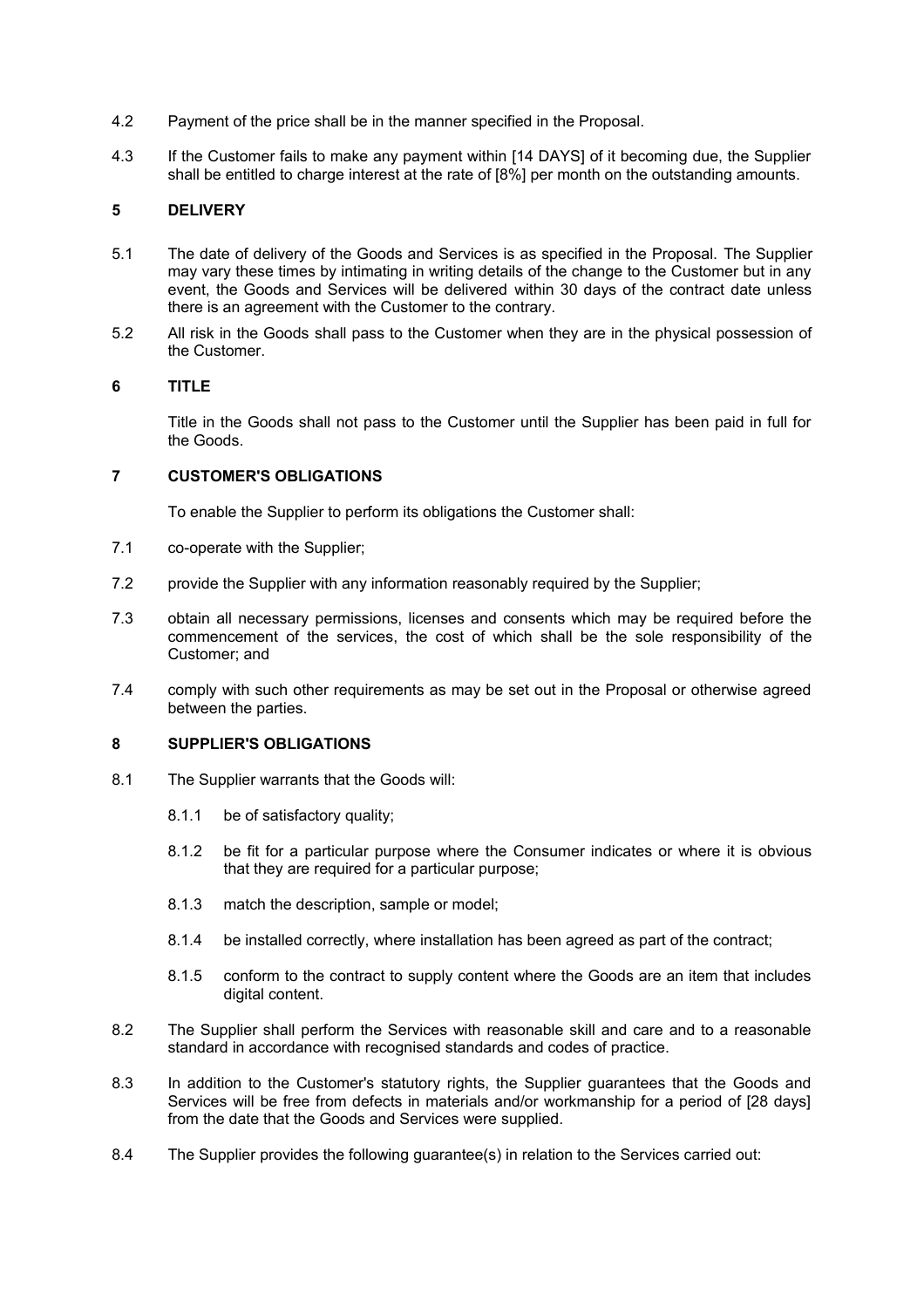- 4.2 Payment of the price shall be in the manner specified in the Proposal.
- 4.3 If the Customer fails to make any payment within [14 DAYS] of it becoming due, the Supplier shall be entitled to charge interest at the rate of [8%] per month on the outstanding amounts.

# **5 DELIVERY**

- 5.1 The date of delivery of the Goods and Services is as specified in the Proposal. The Supplier may vary these times by intimating in writing details of the change to the Customer but in any event, the Goods and Services will be delivered within 30 days of the contract date unless there is an agreement with the Customer to the contrary.
- 5.2 All risk in the Goods shall pass to the Customer when they are in the physical possession of the Customer.

## **6 TITLE**

Title in the Goods shall not pass to the Customer until the Supplier has been paid in full for the Goods.

## **7 CUSTOMER'S OBLIGATIONS**

To enable the Supplier to perform its obligations the Customer shall:

- 7.1 co-operate with the Supplier;
- 7.2 provide the Supplier with any information reasonably required by the Supplier;
- 7.3 obtain all necessary permissions, licenses and consents which may be required before the commencement of the services, the cost of which shall be the sole responsibility of the Customer; and
- 7.4 comply with such other requirements as may be set out in the Proposal or otherwise agreed between the parties.

## **8 SUPPLIER'S OBLIGATIONS**

- 8.1 The Supplier warrants that the Goods will:
	- 8.1.1 be of satisfactory quality;
	- 8.1.2 be fit for a particular purpose where the Consumer indicates or where it is obvious that they are required for a particular purpose;
	- 8.1.3 match the description, sample or model;
	- 8.1.4 be installed correctly, where installation has been agreed as part of the contract;
	- 8.1.5 conform to the contract to supply content where the Goods are an item that includes digital content.
- 8.2 The Supplier shall perform the Services with reasonable skill and care and to a reasonable standard in accordance with recognised standards and codes of practice.
- 8.3 In addition to the Customer's statutory rights, the Supplier guarantees that the Goods and Services will be free from defects in materials and/or workmanship for a period of [28 days] from the date that the Goods and Services were supplied.
- 8.4 The Supplier provides the following guarantee(s) in relation to the Services carried out: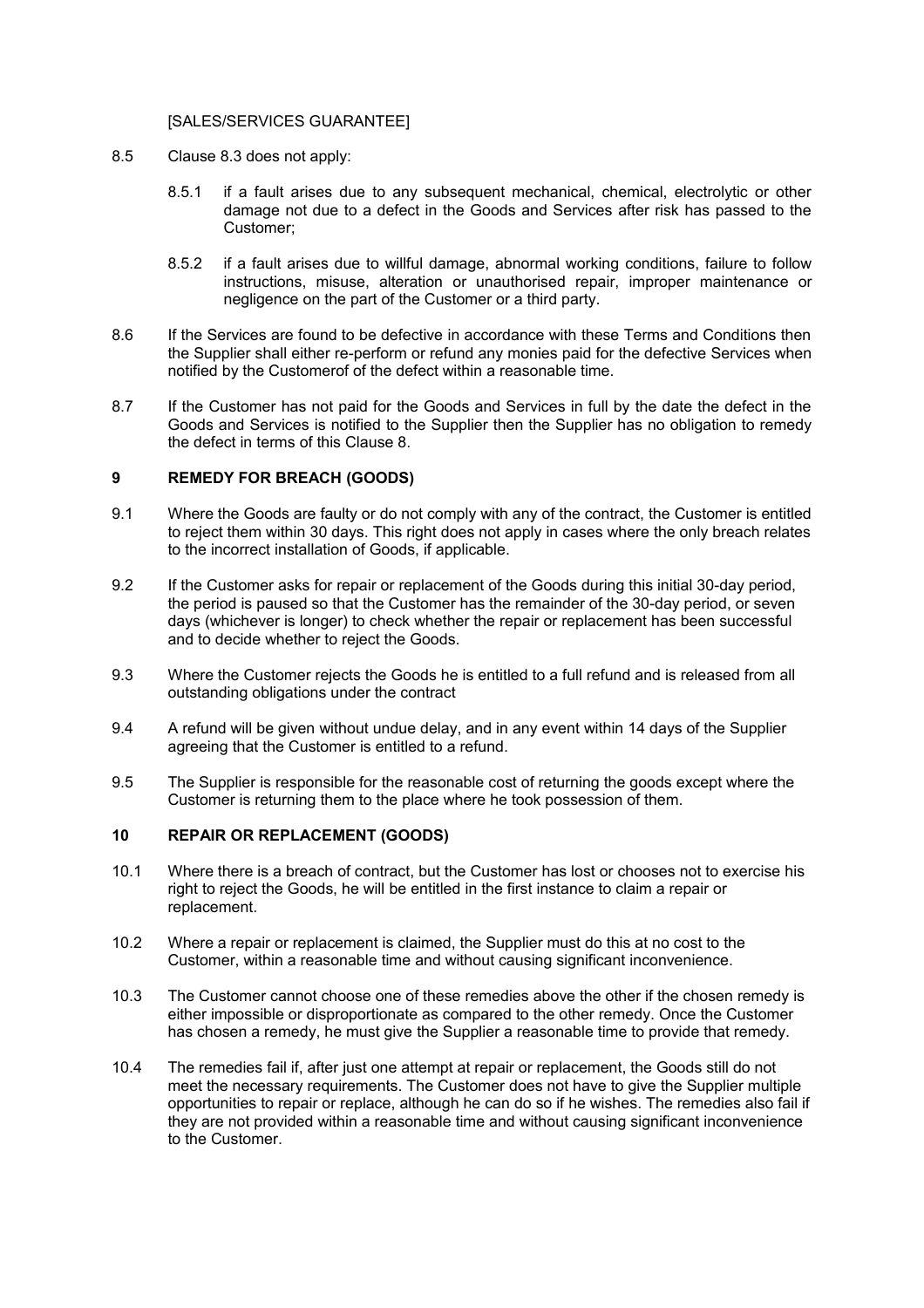#### [SALES/SERVICES GUARANTEE]

- 8.5 Clause 8.3 does not apply:
	- 8.5.1 if a fault arises due to any subsequent mechanical, chemical, electrolytic or other damage not due to a defect in the Goods and Services after risk has passed to the Customer;
	- 8.5.2 if a fault arises due to willful damage, abnormal working conditions, failure to follow instructions, misuse, alteration or unauthorised repair, improper maintenance or negligence on the part of the Customer or a third party.
- 8.6 If the Services are found to be defective in accordance with these Terms and Conditions then the Supplier shall either re-perform or refund any monies paid for the defective Services when notified by the Customerof of the defect within a reasonable time.
- 8.7 If the Customer has not paid for the Goods and Services in full by the date the defect in the Goods and Services is notified to the Supplier then the Supplier has no obligation to remedy the defect in terms of this Clause 8.

# **9 REMEDY FOR BREACH (GOODS)**

- 9.1 Where the Goods are faulty or do not comply with any of the contract, the Customer is entitled to reject them within 30 days. This right does not apply in cases where the only breach relates to the incorrect installation of Goods, if applicable.
- 9.2 If the Customer asks for repair or replacement of the Goods during this initial 30-day period, the period is paused so that the Customer has the remainder of the 30-day period, or seven days (whichever is longer) to check whether the repair or replacement has been successful and to decide whether to reject the Goods.
- 9.3 Where the Customer rejects the Goods he is entitled to a full refund and is released from all outstanding obligations under the contract
- 9.4 A refund will be given without undue delay, and in any event within 14 days of the Supplier agreeing that the Customer is entitled to a refund.
- 9.5 The Supplier is responsible for the reasonable cost of returning the goods except where the Customer is returning them to the place where he took possession of them.

# **10 REPAIR OR REPLACEMENT (GOODS)**

- 10.1 Where there is a breach of contract, but the Customer has lost or chooses not to exercise his right to reject the Goods, he will be entitled in the first instance to claim a repair or replacement.
- 10.2 Where a repair or replacement is claimed, the Supplier must do this at no cost to the Customer, within a reasonable time and without causing significant inconvenience.
- 10.3 The Customer cannot choose one of these remedies above the other if the chosen remedy is either impossible or disproportionate as compared to the other remedy. Once the Customer has chosen a remedy, he must give the Supplier a reasonable time to provide that remedy.
- 10.4 The remedies fail if, after just one attempt at repair or replacement, the Goods still do not meet the necessary requirements. The Customer does not have to give the Supplier multiple opportunities to repair or replace, although he can do so if he wishes. The remedies also fail if they are not provided within a reasonable time and without causing significant inconvenience to the Customer.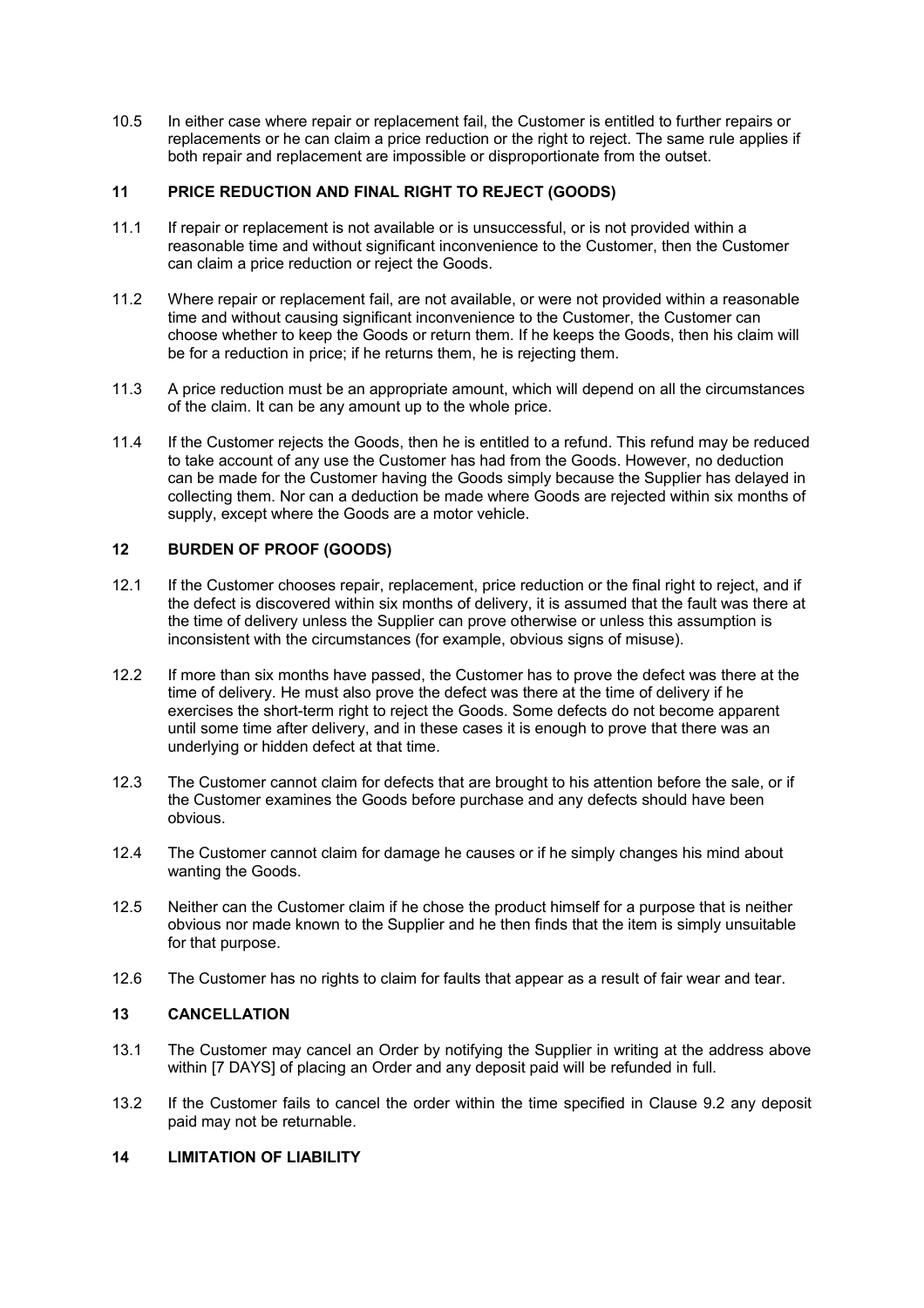10.5 In either case where repair or replacement fail, the Customer is entitled to further repairs or replacements or he can claim a price reduction or the right to reject. The same rule applies if both repair and replacement are impossible or disproportionate from the outset.

## **11 PRICE REDUCTION AND FINAL RIGHT TO REJECT (GOODS)**

- 11.1 If repair or replacement is not available or is unsuccessful, or is not provided within a reasonable time and without significant inconvenience to the Customer, then the Customer can claim a price reduction or reject the Goods.
- 11.2 Where repair or replacement fail, are not available, or were not provided within a reasonable time and without causing significant inconvenience to the Customer, the Customer can choose whether to keep the Goods or return them. If he keeps the Goods, then his claim will be for a reduction in price; if he returns them, he is rejecting them.
- 11.3 A price reduction must be an appropriate amount, which will depend on all the circumstances of the claim. It can be any amount up to the whole price.
- 11.4 If the Customer rejects the Goods, then he is entitled to a refund. This refund may be reduced to take account of any use the Customer has had from the Goods. However, no deduction can be made for the Customer having the Goods simply because the Supplier has delayed in collecting them. Nor can a deduction be made where Goods are rejected within six months of supply, except where the Goods are a motor vehicle.

# **12 BURDEN OF PROOF (GOODS)**

- 12.1 If the Customer chooses repair, replacement, price reduction or the final right to reject, and if the defect is discovered within six months of delivery, it is assumed that the fault was there at the time of delivery unless the Supplier can prove otherwise or unless this assumption is inconsistent with the circumstances (for example, obvious signs of misuse).
- 12.2 If more than six months have passed, the Customer has to prove the defect was there at the time of delivery. He must also prove the defect was there at the time of delivery if he exercises the short-term right to reject the Goods. Some defects do not become apparent until some time after delivery, and in these cases it is enough to prove that there was an underlying or hidden defect at that time.
- 12.3 The Customer cannot claim for defects that are brought to his attention before the sale, or if the Customer examines the Goods before purchase and any defects should have been obvious.
- 12.4 The Customer cannot claim for damage he causes or if he simply changes his mind about wanting the Goods.
- 12.5 Neither can the Customer claim if he chose the product himself for a purpose that is neither obvious nor made known to the Supplier and he then finds that the item is simply unsuitable for that purpose.
- 12.6 The Customer has no rights to claim for faults that appear as a result of fair wear and tear.

# **13 CANCELLATION**

- 13.1 The Customer may cancel an Order by notifying the Supplier in writing at the address above within [7 DAYS] of placing an Order and any deposit paid will be refunded in full.
- 13.2 If the Customer fails to cancel the order within the time specified in Clause 9.2 any deposit paid may not be returnable.

## **14 LIMITATION OF LIABILITY**